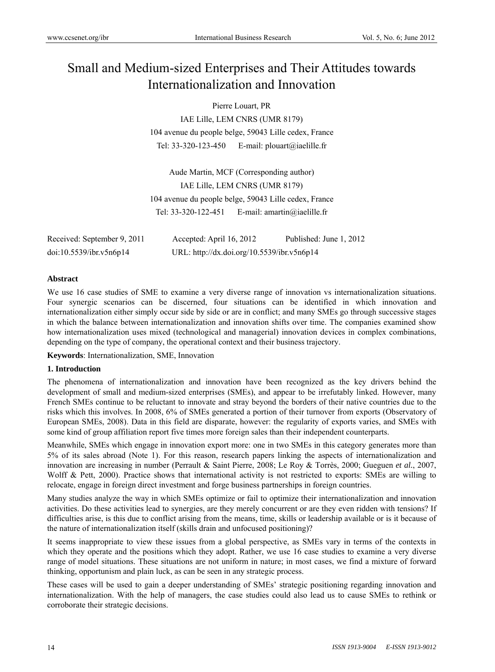# Small and Medium-sized Enterprises and Their Attitudes towards Internationalization and Innovation

Pierre Louart, PR

IAE Lille, LEM CNRS (UMR 8179) 104 avenue du people belge, 59043 Lille cedex, France Tel: 33-320-123-450 E-mail: plouart@iaelille.fr

Aude Martin, MCF (Corresponding author) IAE Lille, LEM CNRS (UMR 8179) 104 avenue du people belge, 59043 Lille cedex, France Tel: 33-320-122-451 E-mail: amartin@iaelille.fr

Received: September 9, 2011 Accepted: April 16, 2012 Published: June 1, 2012 doi:10.5539/ibr.v5n6p14 URL: http://dx.doi.org/10.5539/ibr.v5n6p14

# **Abstract**

We use 16 case studies of SME to examine a very diverse range of innovation vs internationalization situations. Four synergic scenarios can be discerned, four situations can be identified in which innovation and internationalization either simply occur side by side or are in conflict; and many SMEs go through successive stages in which the balance between internationalization and innovation shifts over time. The companies examined show how internationalization uses mixed (technological and managerial) innovation devices in complex combinations, depending on the type of company, the operational context and their business trajectory.

**Keywords**: Internationalization, SME, Innovation

# **1. Introduction**

The phenomena of internationalization and innovation have been recognized as the key drivers behind the development of small and medium-sized enterprises (SMEs), and appear to be irrefutably linked. However, many French SMEs continue to be reluctant to innovate and stray beyond the borders of their native countries due to the risks which this involves. In 2008, 6% of SMEs generated a portion of their turnover from exports (Observatory of European SMEs, 2008). Data in this field are disparate, however: the regularity of exports varies, and SMEs with some kind of group affiliation report five times more foreign sales than their independent counterparts.

Meanwhile, SMEs which engage in innovation export more: one in two SMEs in this category generates more than 5% of its sales abroad (Note 1). For this reason, research papers linking the aspects of internationalization and innovation are increasing in number (Perrault & Saint Pierre, 2008; Le Roy & Torrès, 2000; Gueguen *et al.*, 2007, Wolff & Pett, 2000). Practice shows that international activity is not restricted to exports: SMEs are willing to relocate, engage in foreign direct investment and forge business partnerships in foreign countries.

Many studies analyze the way in which SMEs optimize or fail to optimize their internationalization and innovation activities. Do these activities lead to synergies, are they merely concurrent or are they even ridden with tensions? If difficulties arise, is this due to conflict arising from the means, time, skills or leadership available or is it because of the nature of internationalization itself (skills drain and unfocused positioning)?

It seems inappropriate to view these issues from a global perspective, as SMEs vary in terms of the contexts in which they operate and the positions which they adopt. Rather, we use 16 case studies to examine a very diverse range of model situations. These situations are not uniform in nature; in most cases, we find a mixture of forward thinking, opportunism and plain luck, as can be seen in any strategic process.

These cases will be used to gain a deeper understanding of SMEs' strategic positioning regarding innovation and internationalization. With the help of managers, the case studies could also lead us to cause SMEs to rethink or corroborate their strategic decisions.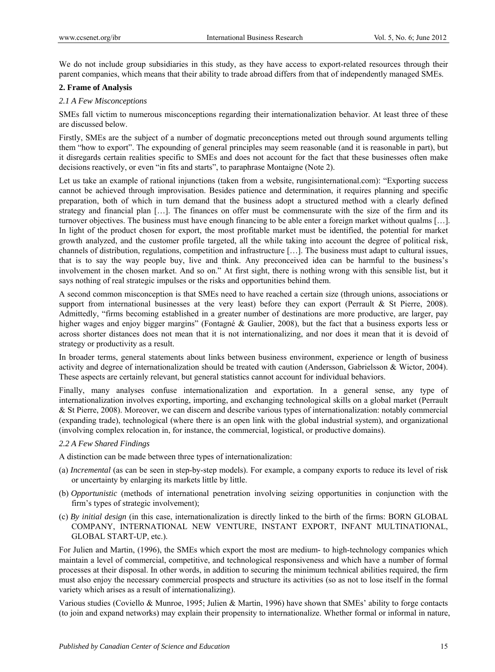We do not include group subsidiaries in this study, as they have access to export-related resources through their parent companies, which means that their ability to trade abroad differs from that of independently managed SMEs.

# **2. Frame of Analysis**

# *2.1 A Few Misconceptions*

SMEs fall victim to numerous misconceptions regarding their internationalization behavior. At least three of these are discussed below.

Firstly, SMEs are the subject of a number of dogmatic preconceptions meted out through sound arguments telling them "how to export". The expounding of general principles may seem reasonable (and it is reasonable in part), but it disregards certain realities specific to SMEs and does not account for the fact that these businesses often make decisions reactively, or even "in fits and starts", to paraphrase Montaigne (Note 2).

Let us take an example of rational injunctions (taken from a website, rungisinternational.com): "Exporting success cannot be achieved through improvisation. Besides patience and determination, it requires planning and specific preparation, both of which in turn demand that the business adopt a structured method with a clearly defined strategy and financial plan […]. The finances on offer must be commensurate with the size of the firm and its turnover objectives. The business must have enough financing to be able enter a foreign market without qualms […]. In light of the product chosen for export, the most profitable market must be identified, the potential for market growth analyzed, and the customer profile targeted, all the while taking into account the degree of political risk, channels of distribution, regulations, competition and infrastructure […]. The business must adapt to cultural issues, that is to say the way people buy, live and think. Any preconceived idea can be harmful to the business's involvement in the chosen market. And so on." At first sight, there is nothing wrong with this sensible list, but it says nothing of real strategic impulses or the risks and opportunities behind them.

A second common misconception is that SMEs need to have reached a certain size (through unions, associations or support from international businesses at the very least) before they can export (Perrault & St Pierre, 2008). Admittedly, "firms becoming established in a greater number of destinations are more productive, are larger, pay higher wages and enjoy bigger margins" (Fontagné & Gaulier, 2008), but the fact that a business exports less or across shorter distances does not mean that it is not internationalizing, and nor does it mean that it is devoid of strategy or productivity as a result.

In broader terms, general statements about links between business environment, experience or length of business activity and degree of internationalization should be treated with caution (Andersson, Gabrielsson & Wictor, 2004). These aspects are certainly relevant, but general statistics cannot account for individual behaviors.

Finally, many analyses confuse internationalization and exportation. In a general sense, any type of internationalization involves exporting, importing, and exchanging technological skills on a global market (Perrault & St Pierre, 2008). Moreover, we can discern and describe various types of internationalization: notably commercial (expanding trade), technological (where there is an open link with the global industrial system), and organizational (involving complex relocation in, for instance, the commercial, logistical, or productive domains).

# *2.2 A Few Shared Findings*

A distinction can be made between three types of internationalization:

- (a) *Incremental* (as can be seen in step-by-step models). For example, a company exports to reduce its level of risk or uncertainty by enlarging its markets little by little.
- (b) *Opportunistic* (methods of international penetration involving seizing opportunities in conjunction with the firm's types of strategic involvement);
- (c) *By initial design* (in this case, internationalization is directly linked to the birth of the firms: BORN GLOBAL COMPANY, INTERNATIONAL NEW VENTURE, INSTANT EXPORT, INFANT MULTINATIONAL, GLOBAL START-UP, etc.).

For Julien and Martin, (1996), the SMEs which export the most are medium- to high-technology companies which maintain a level of commercial, competitive, and technological responsiveness and which have a number of formal processes at their disposal. In other words, in addition to securing the minimum technical abilities required, the firm must also enjoy the necessary commercial prospects and structure its activities (so as not to lose itself in the formal variety which arises as a result of internationalizing).

Various studies (Coviello & Munroe, 1995; Julien & Martin, 1996) have shown that SMEs' ability to forge contacts (to join and expand networks) may explain their propensity to internationalize. Whether formal or informal in nature,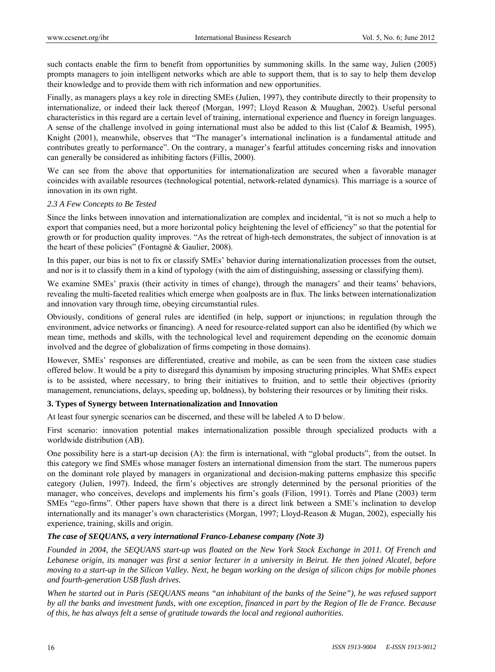such contacts enable the firm to benefit from opportunities by summoning skills. In the same way, Julien (2005) prompts managers to join intelligent networks which are able to support them, that is to say to help them develop their knowledge and to provide them with rich information and new opportunities.

Finally, as managers plays a key role in directing SMEs (Julien, 1997), they contribute directly to their propensity to internationalize, or indeed their lack thereof (Morgan, 1997; Lloyd Reason & Muughan, 2002). Useful personal characteristics in this regard are a certain level of training, international experience and fluency in foreign languages. A sense of the challenge involved in going international must also be added to this list (Calof & Beamish, 1995). Knight (2001), meanwhile, observes that "The manager's international inclination is a fundamental attitude and contributes greatly to performance". On the contrary, a manager's fearful attitudes concerning risks and innovation can generally be considered as inhibiting factors (Fillis, 2000).

We can see from the above that opportunities for internationalization are secured when a favorable manager coincides with available resources (technological potential, network-related dynamics). This marriage is a source of innovation in its own right.

# *2.3 A Few Concepts to Be Tested*

Since the links between innovation and internationalization are complex and incidental, "it is not so much a help to export that companies need, but a more horizontal policy heightening the level of efficiency" so that the potential for growth or for production quality improves. "As the retreat of high-tech demonstrates, the subject of innovation is at the heart of these policies" (Fontagné & Gaulier, 2008).

In this paper, our bias is not to fix or classify SMEs' behavior during internationalization processes from the outset, and nor is it to classify them in a kind of typology (with the aim of distinguishing, assessing or classifying them).

We examine SMEs' praxis (their activity in times of change), through the managers' and their teams' behaviors, revealing the multi-faceted realities which emerge when goalposts are in flux. The links between internationalization and innovation vary through time, obeying circumstantial rules.

Obviously, conditions of general rules are identified (in help, support or injunctions; in regulation through the environment, advice networks or financing). A need for resource-related support can also be identified (by which we mean time, methods and skills, with the technological level and requirement depending on the economic domain involved and the degree of globalization of firms competing in those domains).

However, SMEs' responses are differentiated, creative and mobile, as can be seen from the sixteen case studies offered below. It would be a pity to disregard this dynamism by imposing structuring principles. What SMEs expect is to be assisted, where necessary, to bring their initiatives to fruition, and to settle their objectives (priority management, renunciations, delays, speeding up, boldness), by bolstering their resources or by limiting their risks.

# **3. Types of Synergy between Internationalization and Innovation**

At least four synergic scenarios can be discerned, and these will be labeled A to D below.

First scenario: innovation potential makes internationalization possible through specialized products with a worldwide distribution (AB).

One possibility here is a start-up decision (A): the firm is international, with "global products", from the outset. In this category we find SMEs whose manager fosters an international dimension from the start. The numerous papers on the dominant role played by managers in organizational and decision-making patterns emphasize this specific category (Julien, 1997). Indeed, the firm's objectives are strongly determined by the personal priorities of the manager, who conceives, develops and implements his firm's goals (Filion, 1991). Torrès and Plane (2003) term SMEs "ego-firms". Other papers have shown that there is a direct link between a SME's inclination to develop internationally and its manager's own characteristics (Morgan, 1997; Lloyd-Reason & Mugan, 2002), especially his experience, training, skills and origin.

#### *The case of SEQUANS, a very international Franco-Lebanese company (Note 3)*

*Founded in 2004, the SEQUANS start-up was floated on the New York Stock Exchange in 2011. Of French and Lebanese origin, its manager was first a senior lecturer in a university in Beirut. He then joined Alcatel, before moving to a start-up in the Silicon Valley. Next, he began working on the design of silicon chips for mobile phones and fourth-generation USB flash drives.* 

*When he started out in Paris (SEQUANS means "an inhabitant of the banks of the Seine"), he was refused support by all the banks and investment funds, with one exception, financed in part by the Region of Ile de France. Because of this, he has always felt a sense of gratitude towards the local and regional authorities.*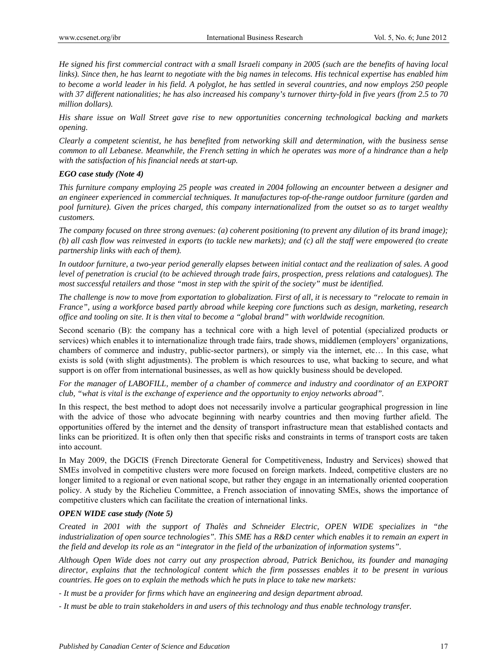*He signed his first commercial contract with a small Israeli company in 2005 (such are the benefits of having local links). Since then, he has learnt to negotiate with the big names in telecoms. His technical expertise has enabled him to become a world leader in his field. A polyglot, he has settled in several countries, and now employs 250 people with 37 different nationalities; he has also increased his company's turnover thirty-fold in five years (from 2.5 to 70 million dollars).* 

*His share issue on Wall Street gave rise to new opportunities concerning technological backing and markets opening.* 

*Clearly a competent scientist, he has benefited from networking skill and determination, with the business sense common to all Lebanese. Meanwhile, the French setting in which he operates was more of a hindrance than a help with the satisfaction of his financial needs at start-up.* 

#### *EGO case study (Note 4)*

*This furniture company employing 25 people was created in 2004 following an encounter between a designer and an engineer experienced in commercial techniques. It manufactures top-of-the-range outdoor furniture (garden and pool furniture). Given the prices charged, this company internationalized from the outset so as to target wealthy customers.* 

*The company focused on three strong avenues: (a) coherent positioning (to prevent any dilution of its brand image); (b) all cash flow was reinvested in exports (to tackle new markets); and (c) all the staff were empowered (to create partnership links with each of them).* 

*In outdoor furniture, a two-year period generally elapses between initial contact and the realization of sales. A good level of penetration is crucial (to be achieved through trade fairs, prospection, press relations and catalogues). The most successful retailers and those "most in step with the spirit of the society" must be identified.* 

*The challenge is now to move from exportation to globalization. First of all, it is necessary to "relocate to remain in France", using a workforce based partly abroad while keeping core functions such as design, marketing, research office and tooling on site. It is then vital to become a "global brand" with worldwide recognition.* 

Second scenario (B): the company has a technical core with a high level of potential (specialized products or services) which enables it to internationalize through trade fairs, trade shows, middlemen (employers' organizations, chambers of commerce and industry, public-sector partners), or simply via the internet, etc… In this case, what exists is sold (with slight adjustments). The problem is which resources to use, what backing to secure, and what support is on offer from international businesses, as well as how quickly business should be developed.

*For the manager of LABOFILL, member of a chamber of commerce and industry and coordinator of an EXPORT club, "what is vital is the exchange of experience and the opportunity to enjoy networks abroad".* 

In this respect, the best method to adopt does not necessarily involve a particular geographical progression in line with the advice of those who advocate beginning with nearby countries and then moving further afield. The opportunities offered by the internet and the density of transport infrastructure mean that established contacts and links can be prioritized. It is often only then that specific risks and constraints in terms of transport costs are taken into account.

In May 2009, the DGCIS (French Directorate General for Competitiveness, Industry and Services) showed that SMEs involved in competitive clusters were more focused on foreign markets. Indeed, competitive clusters are no longer limited to a regional or even national scope, but rather they engage in an internationally oriented cooperation policy. A study by the Richelieu Committee, a French association of innovating SMEs, shows the importance of competitive clusters which can facilitate the creation of international links.

#### *OPEN WIDE case study (Note 5)*

*Created in 2001 with the support of Thalès and Schneider Electric, OPEN WIDE specializes in "the industrialization of open source technologies". This SME has a R&D center which enables it to remain an expert in the field and develop its role as an "integrator in the field of the urbanization of information systems".*

*Although Open Wide does not carry out any prospection abroad, Patrick Benichou, its founder and managing director, explains that the technological content which the firm possesses enables it to be present in various countries. He goes on to explain the methods which he puts in place to take new markets:* 

‐ *It must be a provider for firms which have an engineering and design department abroad.* 

‐ *It must be able to train stakeholders in and users of this technology and thus enable technology transfer.*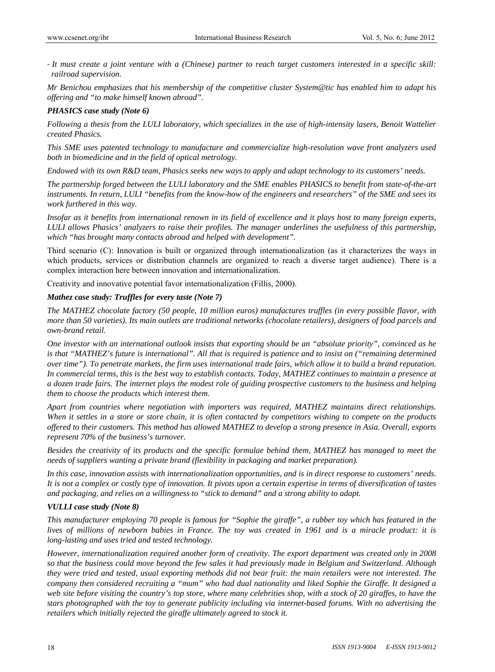‐ *It must create a joint venture with a (Chinese) partner to reach target customers interested in a specific skill: railroad supervision.* 

*Mr Benichou emphasizes that his membership of the competitive cluster System@tic has enabled him to adapt his offering and "to make himself known abroad".* 

# *PHASICS case study (Note 6)*

*Following a thesis from the LULI laboratory, which specializes in the use of high-intensity lasers, Benoit Wattelier created Phasics.* 

*This SME uses patented technology to manufacture and commercialize high-resolution wave front analyzers used both in biomedicine and in the field of optical metrology.* 

*Endowed with its own R&D team, Phasics seeks new ways to apply and adapt technology to its customers' needs.* 

*The partnership forged between the LULI laboratory and the SME enables PHASICS to benefit from state-of-the-art instruments. In return, LULI "benefits from the know-how of the engineers and researchers" of the SME and sees its work furthered in this way.* 

*Insofar as it benefits from international renown in its field of excellence and it plays host to many foreign experts, LULI allows Phasics' analyzers to raise their profiles. The manager underlines the usefulness of this partnership, which "has brought many contacts abroad and helped with development".* 

Third scenario (C): Innovation is built or organized through internationalization (as it characterizes the ways in which products, services or distribution channels are organized to reach a diverse target audience). There is a complex interaction here between innovation and internationalization.

Creativity and innovative potential favor internationalization (Fillis, 2000).

## *Mathez case study: Truffles for every taste (Note 7)*

*The MATHEZ chocolate factory (50 people, 10 million euros) manufactures truffles (in every possible flavor, with more than 50 varieties). Its main outlets are traditional networks (chocolate retailers), designers of food parcels and own-brand retail.* 

*One investor with an international outlook insists that exporting should be an "absolute priority", convinced as he*  is that "MATHEZ's future is international". All that is required is patience and to insist on ("remaining determined *over time"). To penetrate markets, the firm uses international trade fairs, which allow it to build a brand reputation. In commercial terms, this is the best way to establish contacts. Today, MATHEZ continues to maintain a presence at a dozen trade fairs. The internet plays the modest role of guiding prospective customers to the business and helping them to choose the products which interest them.* 

*Apart from countries where negotiation with importers was required, MATHEZ maintains direct relationships. When it settles in a store or store chain, it is often contacted by competitors wishing to compete on the products offered to their customers. This method has allowed MATHEZ to develop a strong presence in Asia. Overall, exports represent 70% of the business's turnover.* 

*Besides the creativity of its products and the specific formulae behind them, MATHEZ has managed to meet the needs of suppliers wanting a private brand (flexibility in packaging and market preparation).* 

*In this case, innovation assists with internationalization opportunities, and is in direct response to customers' needs. It is not a complex or costly type of innovation. It pivots upon a certain expertise in terms of diversification of tastes and packaging, and relies on a willingness to "stick to demand" and a strong ability to adapt.* 

# *VULLI case study (Note 8)*

*This manufacturer employing 70 people is famous for "Sophie the giraffe", a rubber toy which has featured in the lives of millions of newborn babies in France. The toy was created in 1961 and is a miracle product: it is long-lasting and uses tried and tested technology.* 

*However, internationalization required another form of creativity. The export department was created only in 2008 so that the business could move beyond the few sales it had previously made in Belgium and Switzerland. Although they were tried and tested, usual exporting methods did not bear fruit: the main retailers were not interested. The company then considered recruiting a "mum" who had dual nationality and liked Sophie the Giraffe. It designed a web site before visiting the country's top store, where many celebrities shop, with a stock of 20 giraffes, to have the stars photographed with the toy to generate publicity including via internet-based forums. With no advertising the retailers which initially rejected the giraffe ultimately agreed to stock it.*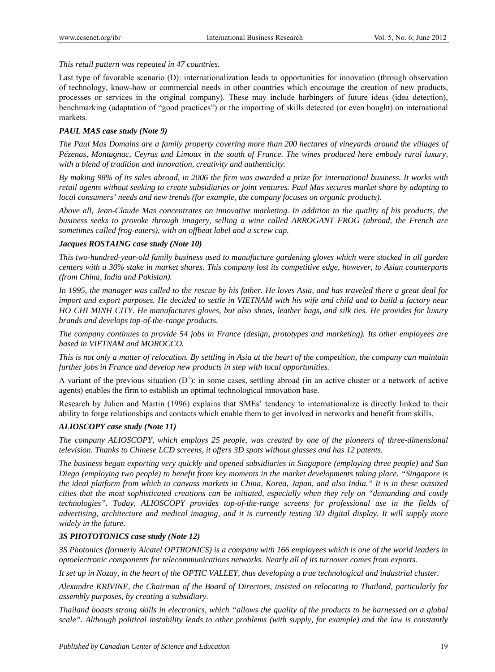# *This retail pattern was repeated in 47 countries.*

Last type of favorable scenario (D): internationalization leads to opportunities for innovation (through observation of technology, know-how or commercial needs in other countries which encourage the creation of new products, processes or services in the original company). These may include harbingers of future ideas (idea detection), benchmarking (adaptation of "good practices") or the importing of skills detected (or even bought) on international markets.

# *PAUL MAS case study (Note 9)*

*The Paul Mas Domains are a family property covering more than 200 hectares of vineyards around the villages of Pézenas, Montagnac, Ceyras and Limoux in the south of France. The wines produced here embody rural luxury, with a blend of tradition and innovation, creativity and authenticity.* 

*By making 98% of its sales abroad, in 2006 the firm was awarded a prize for international business. It works with retail agents without seeking to create subsidiaries or joint ventures. Paul Mas secures market share by adapting to local consumers' needs and new trends (for example, the company focuses on organic products).* 

*Above all, Jean-Claude Mas concentrates on innovative marketing. In addition to the quality of his products, the business seeks to provoke through imagery, selling a wine called ARROGANT FROG (abroad, the French are sometimes called frog-eaters), with an offbeat label and a screw cap.* 

#### *Jacques ROSTAING case study (Note 10)*

*This two-hundred-year-old family business used to manufacture gardening gloves which were stocked in all garden centers with a 30% stake in market shares. This company lost its competitive edge, however, to Asian counterparts (from China, India and Pakistan).* 

*In 1995, the manager was called to the rescue by his father. He loves Asia, and has traveled there a great deal for import and export purposes. He decided to settle in VIETNAM with his wife and child and to build a factory near HO CHI MINH CITY. He manufactures gloves, but also shoes, leather bags, and silk ties. He provides for luxury brands and develops top-of-the-range products.* 

*The company continues to provide 54 jobs in France (design, prototypes and marketing). Its other employees are based in VIETNAM and MOROCCO.* 

*This is not only a matter of relocation. By settling in Asia at the heart of the competition, the company can maintain further jobs in France and develop new products in step with local opportunities.* 

A variant of the previous situation (D'): in some cases, settling abroad (in an active cluster or a network of active agents) enables the firm to establish an optimal technological innovation base.

Research by Julien and Martin (1996) explains that SMEs' tendency to internationalize is directly linked to their ability to forge relationships and contacts which enable them to get involved in networks and benefit from skills.

#### *ALIOSCOPY case study (Note 11)*

*The company ALIOSCOPY, which employs 25 people, was created by one of the pioneers of three-dimensional television. Thanks to Chinese LCD screens, it offers 3D spots without glasses and has 12 patents.* 

*The business began exporting very quickly and opened subsidiaries in Singapore (employing three people) and San Diego (employing two people) to benefit from key moments in the market developments taking place. "Singapore is the ideal platform from which to canvass markets in China, Korea, Japan, and also India." It is in these outsized cities that the most sophisticated creations can be initiated, especially when they rely on "demanding and costly technologies". Today, ALIOSCOPY provides top-of-the-range screens for professional use in the fields of advertising, architecture and medical imaging, and it is currently testing 3D digital display. It will supply more widely in the future.* 

#### *3S PHOTOTONICS case study (Note 12)*

*3S Photonics (formerly Alcatel OPTRONICS) is a company with 166 employees which is one of the world leaders in optoelectronic components for telecommunications networks. Nearly all of its turnover comes from exports.* 

*It set up in Nozay, in the heart of the OPTIC VALLEY, thus developing a true technological and industrial cluster.* 

*Alexandre KRIVINE, the Chairman of the Board of Directors, insisted on relocating to Thailand, particularly for assembly purposes, by creating a subsidiary.* 

*Thailand boasts strong skills in electronics, which "allows the quality of the products to be harnessed on a global scale". Although political instability leads to other problems (with supply, for example) and the law is constantly*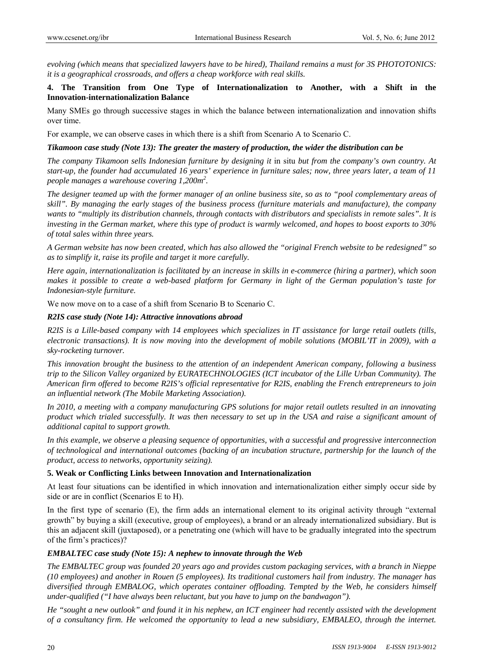*evolving (which means that specialized lawyers have to be hired), Thailand remains a must for 3S PHOTOTONICS: it is a geographical crossroads, and offers a cheap workforce with real skills.* 

# **4. The Transition from One Type of Internationalization to Another, with a Shift in the Innovation-internationalization Balance**

Many SMEs go through successive stages in which the balance between internationalization and innovation shifts over time.

For example, we can observe cases in which there is a shift from Scenario A to Scenario C.

# *Tikamoon case study (Note 13): The greater the mastery of production, the wider the distribution can be*

*The company Tikamoon sells Indonesian furniture by designing it in situ but from the company's own country. At start-up, the founder had accumulated 16 years' experience in furniture sales; now, three years later, a team of 11 people manages a warehouse covering 1,200m2 .* 

*The designer teamed up with the former manager of an online business site, so as to "pool complementary areas of skill". By managing the early stages of the business process (furniture materials and manufacture), the company wants to "multiply its distribution channels, through contacts with distributors and specialists in remote sales". It is investing in the German market, where this type of product is warmly welcomed, and hopes to boost exports to 30% of total sales within three years.* 

*A German website has now been created, which has also allowed the "original French website to be redesigned" so as to simplify it, raise its profile and target it more carefully.* 

*Here again, internationalization is facilitated by an increase in skills in e-commerce (hiring a partner), which soon makes it possible to create a web-based platform for Germany in light of the German population's taste for Indonesian-style furniture.* 

We now move on to a case of a shift from Scenario B to Scenario C.

# *R2IS case study (Note 14): Attractive innovations abroad*

*R2IS is a Lille-based company with 14 employees which specializes in IT assistance for large retail outlets (tills, electronic transactions). It is now moving into the development of mobile solutions (MOBIL'IT in 2009), with a sky-rocketing turnover.* 

*This innovation brought the business to the attention of an independent American company, following a business trip to the Silicon Valley organized by EURATECHNOLOGIES (ICT incubator of the Lille Urban Community). The American firm offered to become R2IS's official representative for R2IS, enabling the French entrepreneurs to join an influential network (The Mobile Marketing Association).* 

*In 2010, a meeting with a company manufacturing GPS solutions for major retail outlets resulted in an innovating product which trialed successfully. It was then necessary to set up in the USA and raise a significant amount of additional capital to support growth.* 

*In this example, we observe a pleasing sequence of opportunities, with a successful and progressive interconnection of technological and international outcomes (backing of an incubation structure, partnership for the launch of the product, access to networks, opportunity seizing).* 

# **5. Weak or Conflicting Links between Innovation and Internationalization**

At least four situations can be identified in which innovation and internationalization either simply occur side by side or are in conflict (Scenarios E to H).

In the first type of scenario (E), the firm adds an international element to its original activity through "external growth" by buying a skill (executive, group of employees), a brand or an already internationalized subsidiary. But is this an adjacent skill (juxtaposed), or a penetrating one (which will have to be gradually integrated into the spectrum of the firm's practices)?

# *EMBALTEC case study (Note 15): A nephew to innovate through the Web*

*The EMBALTEC group was founded 20 years ago and provides custom packaging services, with a branch in Nieppe (10 employees) and another in Rouen (5 employees). Its traditional customers hail from industry. The manager has diversified through EMBALOG, which operates container offloading. Tempted by the Web, he considers himself under-qualified ("I have always been reluctant, but you have to jump on the bandwagon").* 

*He "sought a new outlook" and found it in his nephew, an ICT engineer had recently assisted with the development of a consultancy firm. He welcomed the opportunity to lead a new subsidiary, EMBALEO, through the internet.*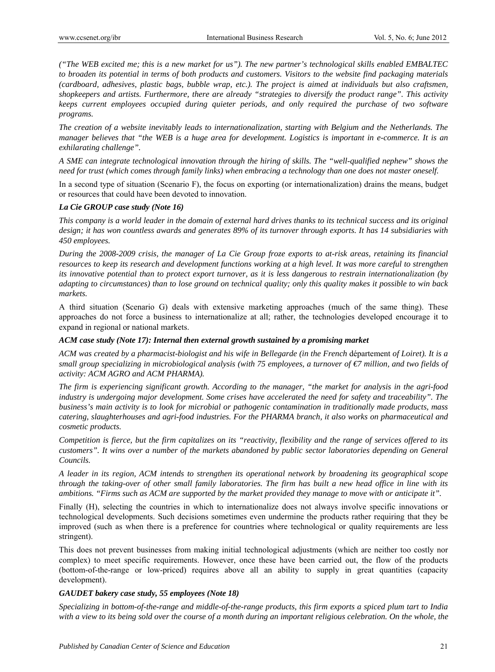*("The WEB excited me; this is a new market for us"). The new partner's technological skills enabled EMBALTEC to broaden its potential in terms of both products and customers. Visitors to the website find packaging materials (cardboard, adhesives, plastic bags, bubble wrap, etc.). The project is aimed at individuals but also craftsmen, shopkeepers and artists. Furthermore, there are already "strategies to diversify the product range". This activity keeps current employees occupied during quieter periods, and only required the purchase of two software programs.* 

*The creation of a website inevitably leads to internationalization, starting with Belgium and the Netherlands. The manager believes that "the WEB is a huge area for development. Logistics is important in e-commerce. It is an exhilarating challenge".* 

*A SME can integrate technological innovation through the hiring of skills. The "well-qualified nephew" shows the need for trust (which comes through family links) when embracing a technology than one does not master oneself.* 

In a second type of situation (Scenario F), the focus on exporting (or internationalization) drains the means, budget or resources that could have been devoted to innovation.

#### *La Cie GROUP case study (Note 16)*

*This company is a world leader in the domain of external hard drives thanks to its technical success and its original design; it has won countless awards and generates 89% of its turnover through exports. It has 14 subsidiaries with 450 employees.* 

*During the 2008-2009 crisis, the manager of La Cie Group froze exports to at-risk areas, retaining its financial resources to keep its research and development functions working at a high level. It was more careful to strengthen its innovative potential than to protect export turnover, as it is less dangerous to restrain internationalization (by adapting to circumstances) than to lose ground on technical quality; only this quality makes it possible to win back markets.* 

A third situation (Scenario G) deals with extensive marketing approaches (much of the same thing). These approaches do not force a business to internationalize at all; rather, the technologies developed encourage it to expand in regional or national markets.

## *ACM case study (Note 17): Internal then external growth sustained by a promising market*

*ACM was created by a pharmacist-biologist and his wife in Bellegarde (in the French* département *of Loiret). It is a small group specializing in microbiological analysis (with 75 employees, a turnover of €7 million, and two fields of activity: ACM AGRO and ACM PHARMA).* 

*The firm is experiencing significant growth. According to the manager, "the market for analysis in the agri-food industry is undergoing major development. Some crises have accelerated the need for safety and traceability". The business's main activity is to look for microbial or pathogenic contamination in traditionally made products, mass catering, slaughterhouses and agri-food industries. For the PHARMA branch, it also works on pharmaceutical and cosmetic products.* 

*Competition is fierce, but the firm capitalizes on its "reactivity, flexibility and the range of services offered to its customers". It wins over a number of the markets abandoned by public sector laboratories depending on General Councils.* 

*A leader in its region, ACM intends to strengthen its operational network by broadening its geographical scope through the taking-over of other small family laboratories. The firm has built a new head office in line with its ambitions. "Firms such as ACM are supported by the market provided they manage to move with or anticipate it".* 

Finally (H), selecting the countries in which to internationalize does not always involve specific innovations or technological developments. Such decisions sometimes even undermine the products rather requiring that they be improved (such as when there is a preference for countries where technological or quality requirements are less stringent).

This does not prevent businesses from making initial technological adjustments (which are neither too costly nor complex) to meet specific requirements. However, once these have been carried out, the flow of the products (bottom-of-the-range or low-priced) requires above all an ability to supply in great quantities (capacity development).

## *GAUDET bakery case study, 55 employees (Note 18)*

*Specializing in bottom-of-the-range and middle-of-the-range products, this firm exports a spiced plum tart to India with a view to its being sold over the course of a month during an important religious celebration. On the whole, the*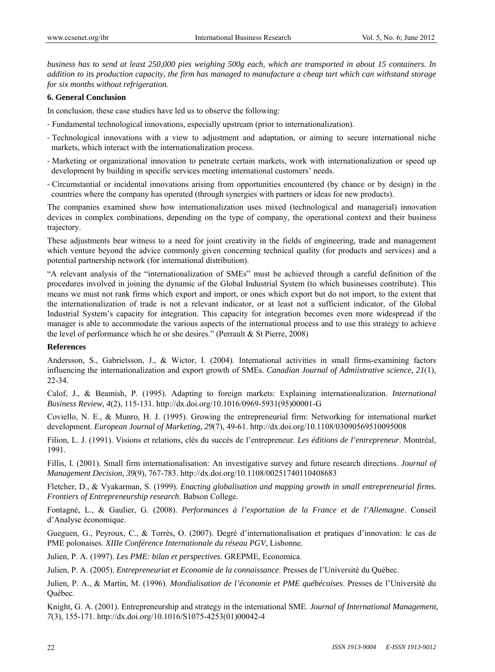*business has to send at least 250,000 pies weighing 500g each, which are transported in about 15 containers. In addition to its production capacity, the firm has managed to manufacture a cheap tart which can withstand storage for six months without refrigeration.* 

# **6. General Conclusion**

In conclusion, these case studies have led us to observe the following:

- ‐ Fundamental technological innovations, especially upstream (prior to internationalization).
- ‐ Technological innovations with a view to adjustment and adaptation, or aiming to secure international niche markets, which interact with the internationalization process.
- ‐ Marketing or organizational innovation to penetrate certain markets, work with internationalization or speed up development by building in specific services meeting international customers' needs.
- ‐ Circumstantial or incidental innovations arising from opportunities encountered (by chance or by design) in the countries where the company has operated (through synergies with partners or ideas for new products).

The companies examined show how internationalization uses mixed (technological and managerial) innovation devices in complex combinations, depending on the type of company, the operational context and their business trajectory.

These adjustments bear witness to a need for joint creativity in the fields of engineering, trade and management which venture beyond the advice commonly given concerning technical quality (for products and services) and a potential partnership network (for international distribution).

"A relevant analysis of the "internationalization of SMEs" must be achieved through a careful definition of the procedures involved in joining the dynamic of the Global Industrial System (to which businesses contribute). This means we must not rank firms which export and import, or ones which export but do not import, to the extent that the internationalization of trade is not a relevant indicator, or at least not a sufficient indicator, of the Global Industrial System's capacity for integration. This capacity for integration becomes even more widespread if the manager is able to accommodate the various aspects of the international process and to use this strategy to achieve the level of performance which he or she desires." (Perrault  $&$  St Pierre, 2008)

# **References**

Andersson, S., Gabrielsson, J., & Wictor, I. (2004). International activities in small firms-examining factors influencing the internationalization and export growth of SMEs. *Canadian Journal of Admiistrative science, 21*(1), 22-34.

Calof, J., & Beamish, P. (1995). Adapting to foreign markets: Explaining internationalization. *International Business Review, 4*(2), 115-131. http://dx.doi.org/10.1016/0969-5931(95)00001-G

Coviello, N. E., & Munro, H. J. (1995). Growing the entrepreneurial firm: Networking for international market development. *European Journal of Marketing, 29*(7), 49-61. http://dx.doi.org/10.1108/03090569510095008

Filion, L. J. (1991). Visions et relations, clés du succès de l'entrepreneur. *Les éditions de l'entrepreneur*. Montréal, 1991.

Fillis, I. (2001). Small firm internationalisation: An investigative survey and future research directions. *Journal of Management Decision, 39*(9), 767-783. http://dx.doi.org/10.1108/00251740110408683

Fletcher, D., & Vyakarman, S. (1999). *Enacting globalisation and mapping growth in small entrepreneurial firms. Frontiers of Entrepreneurship research*. Babson College.

Fontagné, L., & Gaulier, G. (2008). *Performances à l'exportation de la France et de l'Allemagne*. Conseil d'Analyse économique.

Gueguen, G., Peyroux, C., & Torrès, O. (2007). Degré d'internationalisation et pratiques d'innovation: le cas de PME polonaises. *XIIIe Conférence Internationale du réseau PGV*, Lisbonne.

Julien, P. A. (1997). *Les PME: bilan et perspectives*. GREPME, Economica.

Julien, P. A. (2005). *Entrepreneuriat et Economie de la connaissance*. Presses de l'Université du Québec.

Julien, P. A., & Martin, M. (1996). *Mondialisation de l'économie et PME québécoises*. Presses de l'Université du Québec.

Knight, G. A. (2001). Entrepreneurship and strategy in the international SME. *Journal of International Management, 7*(3), 155-171. http://dx.doi.org/10.1016/S1075-4253(01)00042-4